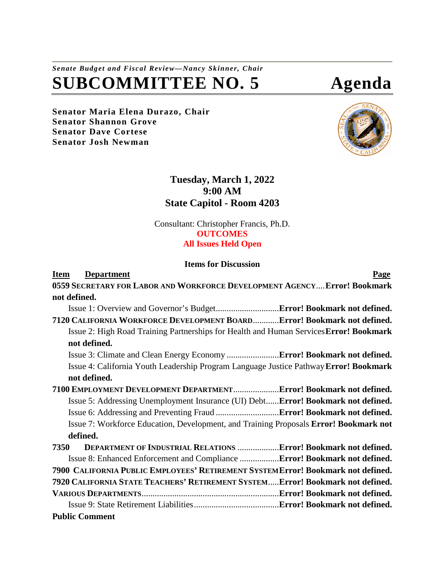## *Senate Budget and Fiscal Review—Nancy Skinner, Chair* **SUBCOMMITTEE NO. 5 Agenda**

**Senator Maria Elena Durazo, Chair Senator Shannon Grove Senator Dave Cortese Senator Josh Newman**



## **Tuesday, March 1, 2022 9:00 AM State Capitol - Room 4203**

Consultant: Christopher Francis, Ph.D. **OUTCOMES All Issues Held Open**

## **Items for Discussion**

| <b>Department</b><br>Item                                                              | <b>Page</b> |
|----------------------------------------------------------------------------------------|-------------|
| 0559 SECRETARY FOR LABOR AND WORKFORCE DEVELOPMENT AGENCY Error! Bookmark              |             |
| not defined.                                                                           |             |
|                                                                                        |             |
| 7120 CALIFORNIA WORKFORCE DEVELOPMENT BOARDError! Bookmark not defined.                |             |
| Issue 2: High Road Training Partnerships for Health and Human Services Error! Bookmark |             |
| not defined.                                                                           |             |
|                                                                                        |             |
| Issue 4: California Youth Leadership Program Language Justice Pathway Error! Bookmark  |             |
| not defined.                                                                           |             |
| 7100 EMPLOYMENT DEVELOPMENT DEPARTMENT Error! Bookmark not defined.                    |             |
| Issue 5: Addressing Unemployment Insurance (UI) DebtError! Bookmark not defined.       |             |
|                                                                                        |             |
| Issue 7: Workforce Education, Development, and Training Proposals Error! Bookmark not  |             |
| defined.                                                                               |             |
| DEPARTMENT OF INDUSTRIAL RELATIONS  Error! Bookmark not defined.<br>7350               |             |
| Issue 8: Enhanced Enforcement and Compliance Error! Bookmark not defined.              |             |
| 7900 CALIFORNIA PUBLIC EMPLOYEES' RETIREMENT SYSTEMETTOT! Bookmark not defined.        |             |
| 7920 CALIFORNIA STATE TEACHERS' RETIREMENT SYSTEMError! Bookmark not defined.          |             |
|                                                                                        |             |
|                                                                                        |             |
| <b>Public Comment</b>                                                                  |             |